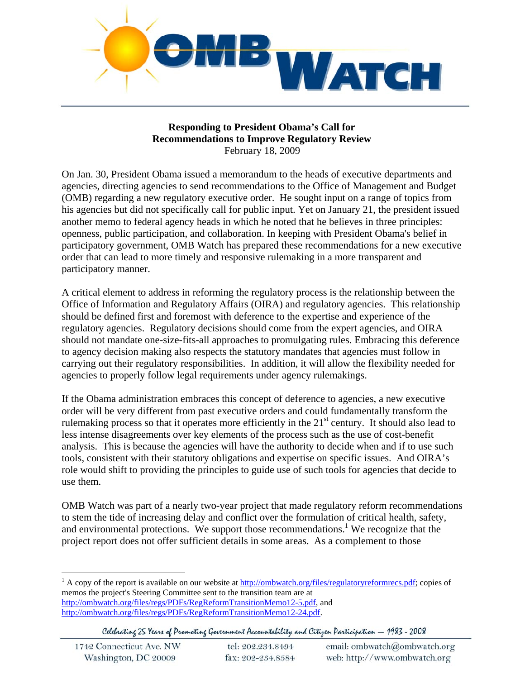

#### **Responding to President Obama's Call for Recommendations to Improve Regulatory Review**  February 18, 2009

On Jan. 30, President Obama issued a memorandum to the heads of executive departments and agencies, directing agencies to send recommendations to the Office of Management and Budget (OMB) regarding a new regulatory executive order. He sought input on a range of topics from his agencies but did not specifically call for public input. Yet on January 21, the president issued another memo to federal agency heads in which he noted that he believes in three principles: openness, public participation, and collaboration. In keeping with President Obama's belief in participatory government, OMB Watch has prepared these recommendations for a new executive order that can lead to more timely and responsive rulemaking in a more transparent and participatory manner.

A critical element to address in reforming the regulatory process is the relationship between the Office of Information and Regulatory Affairs (OIRA) and regulatory agencies. This relationship should be defined first and foremost with deference to the expertise and experience of the regulatory agencies. Regulatory decisions should come from the expert agencies, and OIRA should not mandate one-size-fits-all approaches to promulgating rules. Embracing this deference to agency decision making also respects the statutory mandates that agencies must follow in carrying out their regulatory responsibilities. In addition, it will allow the flexibility needed for agencies to properly follow legal requirements under agency rulemakings.

If the Obama administration embraces this concept of deference to agencies, a new executive order will be very different from past executive orders and could fundamentally transform the rulemaking process so that it operates more efficiently in the  $21<sup>st</sup>$  century. It should also lead to less intense disagreements over key elements of the process such as the use of cost-benefit analysis. This is because the agencies will have the authority to decide when and if to use such tools, consistent with their statutory obligations and expertise on specific issues. And OIRA's role would shift to providing the principles to guide use of such tools for agencies that decide to use them.

OMB Watch was part of a nearly two-year project that made regulatory reform recommendations to stem the tide of increasing delay and conflict over the formulation of critical health, safety, and environmental protections. We support those recommendations.<sup>1</sup> We recognize that the project report does not offer sufficient details in some areas. As a complement to those

Celebrating 25 Years of Promoting Government Accountability and Citizen Participation - 1983 - 2008

| 1742 Connecticut Ave. NW | tel: 202.234.8494 | email: ombwatch@ombwatch.org |
|--------------------------|-------------------|------------------------------|
| Washington, DC 20009     | fax: 202-234.8584 | web: http://www.ombwatch.org |

 $\overline{a}$ <sup>1</sup> A copy of the report is available on our website at  $\frac{http://ombwatch.org/files/regularoryreformrecs.pdf}{http://ombwatch.org/files/regularoryreformrecs.pdf}$ ; copies of memos the project's Steering Committee sent to the transition team are at http://ombwatch.org/files/regs/PDFs/RegReformTransitionMemo12-5.pdf, and http://ombwatch.org/files/regs/PDFs/RegReformTransitionMemo12-24.pdf.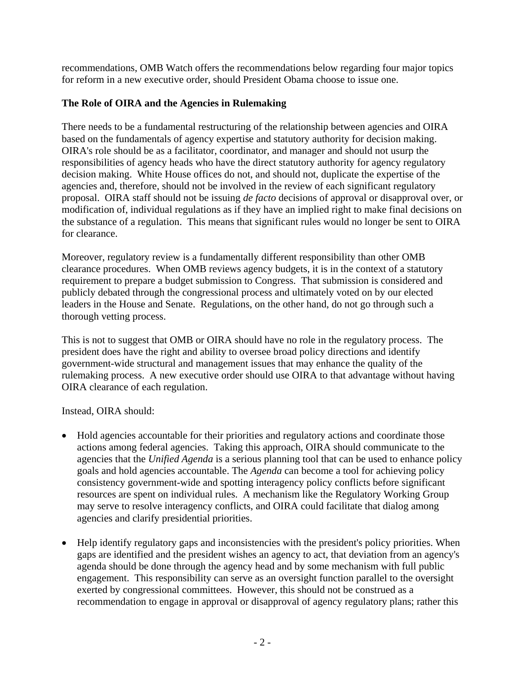recommendations, OMB Watch offers the recommendations below regarding four major topics for reform in a new executive order, should President Obama choose to issue one.

#### **The Role of OIRA and the Agencies in Rulemaking**

There needs to be a fundamental restructuring of the relationship between agencies and OIRA based on the fundamentals of agency expertise and statutory authority for decision making. OIRA's role should be as a facilitator, coordinator, and manager and should not usurp the responsibilities of agency heads who have the direct statutory authority for agency regulatory decision making. White House offices do not, and should not, duplicate the expertise of the agencies and, therefore, should not be involved in the review of each significant regulatory proposal. OIRA staff should not be issuing *de facto* decisions of approval or disapproval over, or modification of, individual regulations as if they have an implied right to make final decisions on the substance of a regulation. This means that significant rules would no longer be sent to OIRA for clearance.

Moreover, regulatory review is a fundamentally different responsibility than other OMB clearance procedures. When OMB reviews agency budgets, it is in the context of a statutory requirement to prepare a budget submission to Congress. That submission is considered and publicly debated through the congressional process and ultimately voted on by our elected leaders in the House and Senate. Regulations, on the other hand, do not go through such a thorough vetting process.

This is not to suggest that OMB or OIRA should have no role in the regulatory process. The president does have the right and ability to oversee broad policy directions and identify government-wide structural and management issues that may enhance the quality of the rulemaking process. A new executive order should use OIRA to that advantage without having OIRA clearance of each regulation.

Instead, OIRA should:

- Hold agencies accountable for their priorities and regulatory actions and coordinate those actions among federal agencies. Taking this approach, OIRA should communicate to the agencies that the *Unified Agenda* is a serious planning tool that can be used to enhance policy goals and hold agencies accountable. The *Agenda* can become a tool for achieving policy consistency government-wide and spotting interagency policy conflicts before significant resources are spent on individual rules. A mechanism like the Regulatory Working Group may serve to resolve interagency conflicts, and OIRA could facilitate that dialog among agencies and clarify presidential priorities.
- Help identify regulatory gaps and inconsistencies with the president's policy priorities. When gaps are identified and the president wishes an agency to act, that deviation from an agency's agenda should be done through the agency head and by some mechanism with full public engagement. This responsibility can serve as an oversight function parallel to the oversight exerted by congressional committees. However, this should not be construed as a recommendation to engage in approval or disapproval of agency regulatory plans; rather this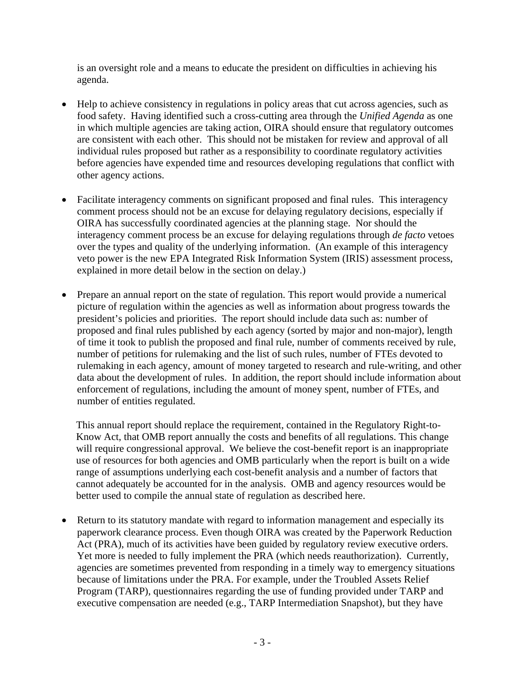is an oversight role and a means to educate the president on difficulties in achieving his agenda.

- Help to achieve consistency in regulations in policy areas that cut across agencies, such as food safety. Having identified such a cross-cutting area through the *Unified Agenda* as one in which multiple agencies are taking action, OIRA should ensure that regulatory outcomes are consistent with each other. This should not be mistaken for review and approval of all individual rules proposed but rather as a responsibility to coordinate regulatory activities before agencies have expended time and resources developing regulations that conflict with other agency actions.
- Facilitate interagency comments on significant proposed and final rules. This interagency comment process should not be an excuse for delaying regulatory decisions, especially if OIRA has successfully coordinated agencies at the planning stage. Nor should the interagency comment process be an excuse for delaying regulations through *de facto* vetoes over the types and quality of the underlying information. (An example of this interagency veto power is the new EPA Integrated Risk Information System (IRIS) assessment process, explained in more detail below in the section on delay.)
- Prepare an annual report on the state of regulation. This report would provide a numerical picture of regulation within the agencies as well as information about progress towards the president's policies and priorities. The report should include data such as: number of proposed and final rules published by each agency (sorted by major and non-major), length of time it took to publish the proposed and final rule, number of comments received by rule, number of petitions for rulemaking and the list of such rules, number of FTEs devoted to rulemaking in each agency, amount of money targeted to research and rule-writing, and other data about the development of rules. In addition, the report should include information about enforcement of regulations, including the amount of money spent, number of FTEs, and number of entities regulated.

This annual report should replace the requirement, contained in the Regulatory Right-to-Know Act, that OMB report annually the costs and benefits of all regulations. This change will require congressional approval. We believe the cost-benefit report is an inappropriate use of resources for both agencies and OMB particularly when the report is built on a wide range of assumptions underlying each cost-benefit analysis and a number of factors that cannot adequately be accounted for in the analysis. OMB and agency resources would be better used to compile the annual state of regulation as described here.

• Return to its statutory mandate with regard to information management and especially its paperwork clearance process. Even though OIRA was created by the Paperwork Reduction Act (PRA), much of its activities have been guided by regulatory review executive orders. Yet more is needed to fully implement the PRA (which needs reauthorization). Currently, agencies are sometimes prevented from responding in a timely way to emergency situations because of limitations under the PRA. For example, under the Troubled Assets Relief Program (TARP), questionnaires regarding the use of funding provided under TARP and executive compensation are needed (e.g., TARP Intermediation Snapshot), but they have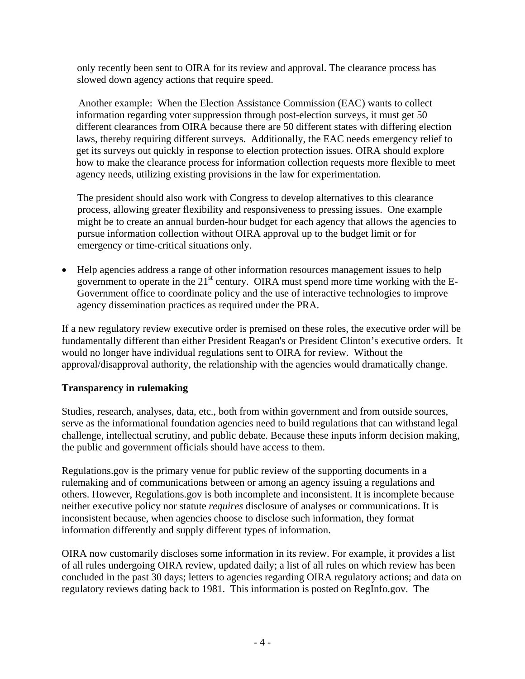only recently been sent to OIRA for its review and approval. The clearance process has slowed down agency actions that require speed.

Another example: When the Election Assistance Commission (EAC) wants to collect information regarding voter suppression through post-election surveys, it must get 50 different clearances from OIRA because there are 50 different states with differing election laws, thereby requiring different surveys. Additionally, the EAC needs emergency relief to get its surveys out quickly in response to election protection issues. OIRA should explore how to make the clearance process for information collection requests more flexible to meet agency needs, utilizing existing provisions in the law for experimentation.

The president should also work with Congress to develop alternatives to this clearance process, allowing greater flexibility and responsiveness to pressing issues. One example might be to create an annual burden-hour budget for each agency that allows the agencies to pursue information collection without OIRA approval up to the budget limit or for emergency or time-critical situations only.

• Help agencies address a range of other information resources management issues to help government to operate in the  $21<sup>st</sup>$  century. OIRA must spend more time working with the E-Government office to coordinate policy and the use of interactive technologies to improve agency dissemination practices as required under the PRA.

If a new regulatory review executive order is premised on these roles, the executive order will be fundamentally different than either President Reagan's or President Clinton's executive orders. It would no longer have individual regulations sent to OIRA for review. Without the approval/disapproval authority, the relationship with the agencies would dramatically change.

## **Transparency in rulemaking**

Studies, research, analyses, data, etc., both from within government and from outside sources, serve as the informational foundation agencies need to build regulations that can withstand legal challenge, intellectual scrutiny, and public debate. Because these inputs inform decision making, the public and government officials should have access to them.

Regulations.gov is the primary venue for public review of the supporting documents in a rulemaking and of communications between or among an agency issuing a regulations and others. However, Regulations.gov is both incomplete and inconsistent. It is incomplete because neither executive policy nor statute *requires* disclosure of analyses or communications. It is inconsistent because, when agencies choose to disclose such information, they format information differently and supply different types of information.

OIRA now customarily discloses some information in its review. For example, it provides a list of all rules undergoing OIRA review, updated daily; a list of all rules on which review has been concluded in the past 30 days; letters to agencies regarding OIRA regulatory actions; and data on regulatory reviews dating back to 1981. This information is posted on RegInfo.gov. The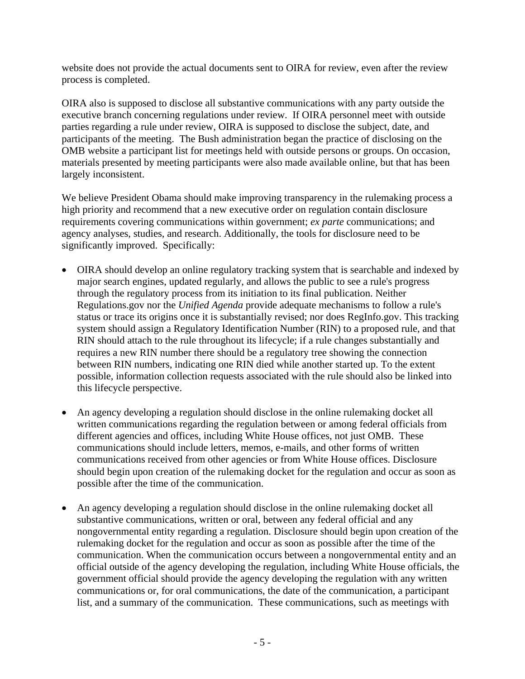website does not provide the actual documents sent to OIRA for review, even after the review process is completed.

OIRA also is supposed to disclose all substantive communications with any party outside the executive branch concerning regulations under review. If OIRA personnel meet with outside parties regarding a rule under review, OIRA is supposed to disclose the subject, date, and participants of the meeting. The Bush administration began the practice of disclosing on the OMB website a participant list for meetings held with outside persons or groups. On occasion, materials presented by meeting participants were also made available online, but that has been largely inconsistent.

We believe President Obama should make improving transparency in the rulemaking process a high priority and recommend that a new executive order on regulation contain disclosure requirements covering communications within government; *ex parte* communications; and agency analyses, studies, and research. Additionally, the tools for disclosure need to be significantly improved. Specifically:

- OIRA should develop an online regulatory tracking system that is searchable and indexed by major search engines, updated regularly, and allows the public to see a rule's progress through the regulatory process from its initiation to its final publication. Neither Regulations.gov nor the *Unified Agenda* provide adequate mechanisms to follow a rule's status or trace its origins once it is substantially revised; nor does RegInfo.gov. This tracking system should assign a Regulatory Identification Number (RIN) to a proposed rule, and that RIN should attach to the rule throughout its lifecycle; if a rule changes substantially and requires a new RIN number there should be a regulatory tree showing the connection between RIN numbers, indicating one RIN died while another started up. To the extent possible, information collection requests associated with the rule should also be linked into this lifecycle perspective.
- An agency developing a regulation should disclose in the online rulemaking docket all written communications regarding the regulation between or among federal officials from different agencies and offices, including White House offices, not just OMB. These communications should include letters, memos, e-mails, and other forms of written communications received from other agencies or from White House offices. Disclosure should begin upon creation of the rulemaking docket for the regulation and occur as soon as possible after the time of the communication.
- An agency developing a regulation should disclose in the online rulemaking docket all substantive communications, written or oral, between any federal official and any nongovernmental entity regarding a regulation. Disclosure should begin upon creation of the rulemaking docket for the regulation and occur as soon as possible after the time of the communication. When the communication occurs between a nongovernmental entity and an official outside of the agency developing the regulation, including White House officials, the government official should provide the agency developing the regulation with any written communications or, for oral communications, the date of the communication, a participant list, and a summary of the communication. These communications, such as meetings with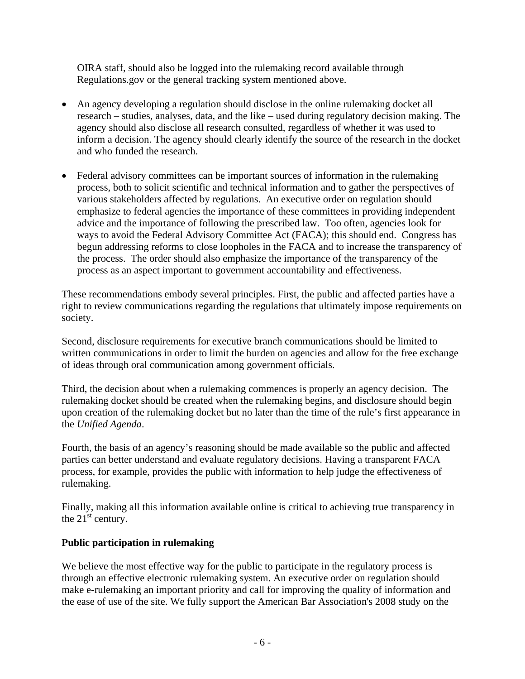OIRA staff, should also be logged into the rulemaking record available through Regulations.gov or the general tracking system mentioned above.

- An agency developing a regulation should disclose in the online rulemaking docket all research – studies, analyses, data, and the like – used during regulatory decision making. The agency should also disclose all research consulted, regardless of whether it was used to inform a decision. The agency should clearly identify the source of the research in the docket and who funded the research.
- Federal advisory committees can be important sources of information in the rulemaking process, both to solicit scientific and technical information and to gather the perspectives of various stakeholders affected by regulations. An executive order on regulation should emphasize to federal agencies the importance of these committees in providing independent advice and the importance of following the prescribed law. Too often, agencies look for ways to avoid the Federal Advisory Committee Act (FACA); this should end. Congress has begun addressing reforms to close loopholes in the FACA and to increase the transparency of the process. The order should also emphasize the importance of the transparency of the process as an aspect important to government accountability and effectiveness.

These recommendations embody several principles. First, the public and affected parties have a right to review communications regarding the regulations that ultimately impose requirements on society.

Second, disclosure requirements for executive branch communications should be limited to written communications in order to limit the burden on agencies and allow for the free exchange of ideas through oral communication among government officials.

Third, the decision about when a rulemaking commences is properly an agency decision. The rulemaking docket should be created when the rulemaking begins, and disclosure should begin upon creation of the rulemaking docket but no later than the time of the rule's first appearance in the *Unified Agenda*.

Fourth, the basis of an agency's reasoning should be made available so the public and affected parties can better understand and evaluate regulatory decisions. Having a transparent FACA process, for example, provides the public with information to help judge the effectiveness of rulemaking.

Finally, making all this information available online is critical to achieving true transparency in the  $21<sup>st</sup>$  century.

## **Public participation in rulemaking**

We believe the most effective way for the public to participate in the regulatory process is through an effective electronic rulemaking system. An executive order on regulation should make e-rulemaking an important priority and call for improving the quality of information and the ease of use of the site. We fully support the American Bar Association's 2008 study on the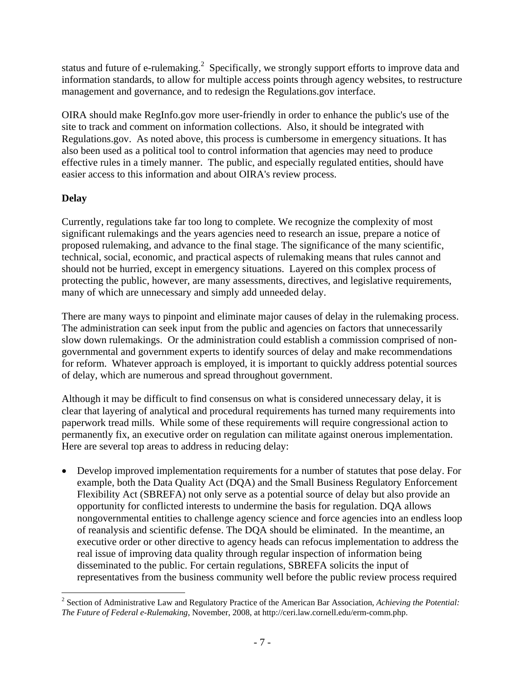status and future of e-rulemaking.<sup>2</sup> Specifically, we strongly support efforts to improve data and information standards, to allow for multiple access points through agency websites, to restructure management and governance, and to redesign the Regulations.gov interface.

OIRA should make RegInfo.gov more user-friendly in order to enhance the public's use of the site to track and comment on information collections. Also, it should be integrated with Regulations.gov. As noted above, this process is cumbersome in emergency situations. It has also been used as a political tool to control information that agencies may need to produce effective rules in a timely manner. The public, and especially regulated entities, should have easier access to this information and about OIRA's review process.

# **Delay**

Currently, regulations take far too long to complete. We recognize the complexity of most significant rulemakings and the years agencies need to research an issue, prepare a notice of proposed rulemaking, and advance to the final stage. The significance of the many scientific, technical, social, economic, and practical aspects of rulemaking means that rules cannot and should not be hurried, except in emergency situations. Layered on this complex process of protecting the public, however, are many assessments, directives, and legislative requirements, many of which are unnecessary and simply add unneeded delay.

There are many ways to pinpoint and eliminate major causes of delay in the rulemaking process. The administration can seek input from the public and agencies on factors that unnecessarily slow down rulemakings. Or the administration could establish a commission comprised of nongovernmental and government experts to identify sources of delay and make recommendations for reform. Whatever approach is employed, it is important to quickly address potential sources of delay, which are numerous and spread throughout government.

Although it may be difficult to find consensus on what is considered unnecessary delay, it is clear that layering of analytical and procedural requirements has turned many requirements into paperwork tread mills. While some of these requirements will require congressional action to permanently fix, an executive order on regulation can militate against onerous implementation. Here are several top areas to address in reducing delay:

• Develop improved implementation requirements for a number of statutes that pose delay. For example, both the Data Quality Act (DQA) and the Small Business Regulatory Enforcement Flexibility Act (SBREFA) not only serve as a potential source of delay but also provide an opportunity for conflicted interests to undermine the basis for regulation. DQA allows nongovernmental entities to challenge agency science and force agencies into an endless loop of reanalysis and scientific defense. The DQA should be eliminated. In the meantime, an executive order or other directive to agency heads can refocus implementation to address the real issue of improving data quality through regular inspection of information being disseminated to the public. For certain regulations, SBREFA solicits the input of representatives from the business community well before the public review process required

 2 Section of Administrative Law and Regulatory Practice of the American Bar Association, *Achieving the Potential: The Future of Federal e-Rulemaking*, November, 2008, at http://ceri.law.cornell.edu/erm-comm.php.